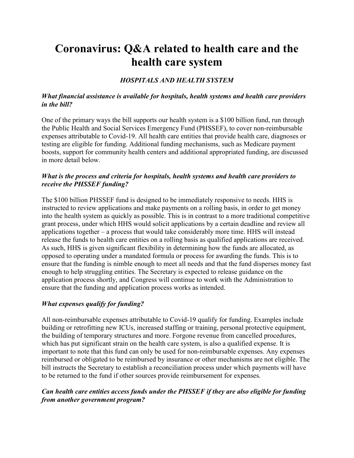# Coronavirus: Q&A related to health care and the health care system

# HOSPITALS AND HEALTH SYSTEM

# What financial assistance is available for hospitals, health systems and health care providers in the bill?

One of the primary ways the bill supports our health system is a \$100 billion fund, run through the Public Health and Social Services Emergency Fund (PHSSEF), to cover non-reimbursable expenses attributable to Covid-19. All health care entities that provide health care, diagnoses or testing are eligible for funding. Additional funding mechanisms, such as Medicare payment boosts, support for community health centers and additional appropriated funding, are discussed in more detail below.

# What is the process and criteria for hospitals, health systems and health care providers to receive the PHSSEF funding?

The \$100 billion PHSSEF fund is designed to be immediately responsive to needs. HHS is instructed to review applications and make payments on a rolling basis, in order to get money into the health system as quickly as possible. This is in contrast to a more traditional competitive grant process, under which HHS would solicit applications by a certain deadline and review all applications together – a process that would take considerably more time. HHS will instead release the funds to health care entities on a rolling basis as qualified applications are received. As such, HHS is given significant flexibility in determining how the funds are allocated, as opposed to operating under a mandated formula or process for awarding the funds. This is to ensure that the funding is nimble enough to meet all needs and that the fund disperses money fast enough to help struggling entities. The Secretary is expected to release guidance on the application process shortly, and Congress will continue to work with the Administration to ensure that the funding and application process works as intended.

# What expenses qualify for funding?

All non-reimbursable expenses attributable to Covid-19 qualify for funding. Examples include building or retrofitting new ICUs, increased staffing or training, personal protective equipment, the building of temporary structures and more. Forgone revenue from cancelled procedures, which has put significant strain on the health care system, is also a qualified expense. It is important to note that this fund can only be used for non-reimbursable expenses. Any expenses reimbursed or obligated to be reimbursed by insurance or other mechanisms are not eligible. The bill instructs the Secretary to establish a reconciliation process under which payments will have to be returned to the fund if other sources provide reimbursement for expenses.

# Can health care entities access funds under the PHSSEF if they are also eligible for funding from another government program?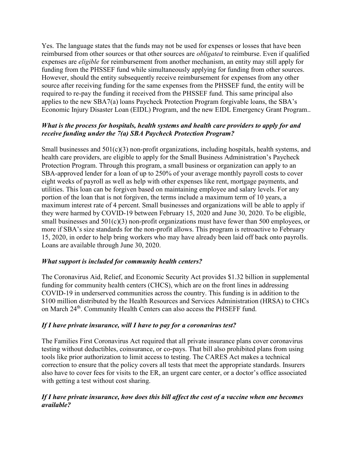Yes. The language states that the funds may not be used for expenses or losses that have been reimbursed from other sources or that other sources are *obligated* to reimburse. Even if qualified expenses are eligible for reimbursement from another mechanism, an entity may still apply for funding from the PHSSEF fund while simultaneously applying for funding from other sources. However, should the entity subsequently receive reimbursement for expenses from any other source after receiving funding for the same expenses from the PHSSEF fund, the entity will be required to re-pay the funding it received from the PHSSEF fund. This same principal also applies to the new SBA7(a) loans Paycheck Protection Program forgivable loans, the SBA's Economic Injury Disaster Loan (EIDL) Program, and the new EIDL Emergency Grant Program..

# What is the process for hospitals, health systems and health care providers to apply for and receive funding under the 7(a) SBA Paycheck Protection Program?

Small businesses and 501(c)(3) non-profit organizations, including hospitals, health systems, and health care providers, are eligible to apply for the Small Business Administration's Paycheck Protection Program. Through this program, a small business or organization can apply to an SBA-approved lender for a loan of up to 250% of your average monthly payroll costs to cover eight weeks of payroll as well as help with other expenses like rent, mortgage payments, and utilities. This loan can be forgiven based on maintaining employee and salary levels. For any portion of the loan that is not forgiven, the terms include a maximum term of 10 years, a maximum interest rate of 4 percent. Small businesses and organizations will be able to apply if they were harmed by COVID-19 between February 15, 2020 and June 30, 2020. To be eligible, small businesses and  $501(c)(3)$  non-profit organizations must have fewer than 500 employees, or more if SBA's size standards for the non-profit allows. This program is retroactive to February 15, 2020, in order to help bring workers who may have already been laid off back onto payrolls. Loans are available through June 30, 2020.

# What support is included for community health centers?

The Coronavirus Aid, Relief, and Economic Security Act provides \$1.32 billion in supplemental funding for community health centers (CHCS), which are on the front lines in addressing COVID-19 in underserved communities across the country. This funding is in addition to the \$100 million distributed by the Health Resources and Services Administration (HRSA) to CHCs on March 24<sup>th</sup>. Community Health Centers can also access the PHSEFF fund.

# If I have private insurance, will I have to pay for a coronavirus test?

The Families First Coronavirus Act required that all private insurance plans cover coronavirus testing without deductibles, coinsurance, or co-pays. That bill also prohibited plans from using tools like prior authorization to limit access to testing. The CARES Act makes a technical correction to ensure that the policy covers all tests that meet the appropriate standards. Insurers also have to cover fees for visits to the ER, an urgent care center, or a doctor's office associated with getting a test without cost sharing.

# If I have private insurance, how does this bill affect the cost of a vaccine when one becomes available?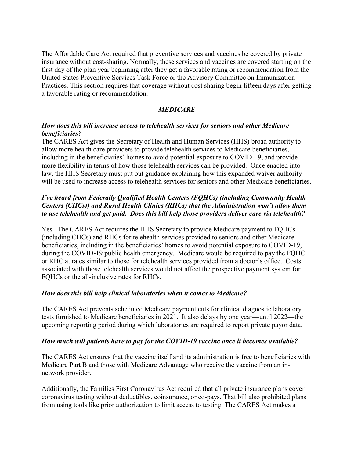The Affordable Care Act required that preventive services and vaccines be covered by private insurance without cost-sharing. Normally, these services and vaccines are covered starting on the first day of the plan year beginning after they get a favorable rating or recommendation from the United States Preventive Services Task Force or the Advisory Committee on Immunization Practices. This section requires that coverage without cost sharing begin fifteen days after getting a favorable rating or recommendation.

# MEDICARE

#### How does this bill increase access to telehealth services for seniors and other Medicare beneficiaries?

The CARES Act gives the Secretary of Health and Human Services (HHS) broad authority to allow more health care providers to provide telehealth services to Medicare beneficiaries, including in the beneficiaries' homes to avoid potential exposure to COVID-19, and provide more flexibility in terms of how those telehealth services can be provided. Once enacted into law, the HHS Secretary must put out guidance explaining how this expanded waiver authority will be used to increase access to telehealth services for seniors and other Medicare beneficiaries.

# I've heard from Federally Qualified Health Centers (FQHCs) (including Community Health Centers (CHCs)) and Rural Health Clinics (RHCs) that the Administration won't allow them to use telehealth and get paid. Does this bill help those providers deliver care via telehealth?

Yes. The CARES Act requires the HHS Secretary to provide Medicare payment to FQHCs (including CHCs) and RHCs for telehealth services provided to seniors and other Medicare beneficiaries, including in the beneficiaries' homes to avoid potential exposure to COVID-19, during the COVID-19 public health emergency. Medicare would be required to pay the FQHC or RHC at rates similar to those for telehealth services provided from a doctor's office. Costs associated with those telehealth services would not affect the prospective payment system for FQHCs or the all-inclusive rates for RHCs.

#### How does this bill help clinical laboratories when it comes to Medicare?

The CARES Act prevents scheduled Medicare payment cuts for clinical diagnostic laboratory tests furnished to Medicare beneficiaries in 2021. It also delays by one year—until 2022—the upcoming reporting period during which laboratories are required to report private payor data.

#### How much will patients have to pay for the COVID-19 vaccine once it becomes available?

The CARES Act ensures that the vaccine itself and its administration is free to beneficiaries with Medicare Part B and those with Medicare Advantage who receive the vaccine from an innetwork provider.

Additionally, the Families First Coronavirus Act required that all private insurance plans cover coronavirus testing without deductibles, coinsurance, or co-pays. That bill also prohibited plans from using tools like prior authorization to limit access to testing. The CARES Act makes a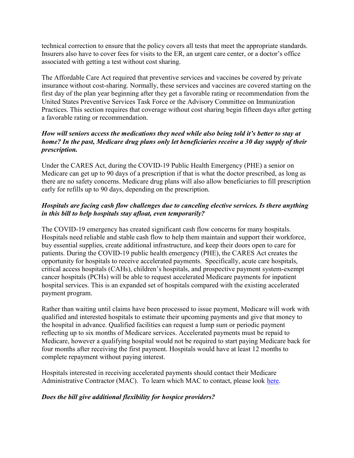technical correction to ensure that the policy covers all tests that meet the appropriate standards. Insurers also have to cover fees for visits to the ER, an urgent care center, or a doctor's office associated with getting a test without cost sharing.

The Affordable Care Act required that preventive services and vaccines be covered by private insurance without cost-sharing. Normally, these services and vaccines are covered starting on the first day of the plan year beginning after they get a favorable rating or recommendation from the United States Preventive Services Task Force or the Advisory Committee on Immunization Practices. This section requires that coverage without cost sharing begin fifteen days after getting a favorable rating or recommendation.

# How will seniors access the medications they need while also being told it's better to stay at home? In the past, Medicare drug plans only let beneficiaries receive a 30 day supply of their prescription.

Under the CARES Act, during the COVID-19 Public Health Emergency (PHE) a senior on Medicare can get up to 90 days of a prescription if that is what the doctor prescribed, as long as there are no safety concerns. Medicare drug plans will also allow beneficiaries to fill prescription early for refills up to 90 days, depending on the prescription.

# Hospitals are facing cash flow challenges due to canceling elective services. Is there anything in this bill to help hospitals stay afloat, even temporarily?

The COVID-19 emergency has created significant cash flow concerns for many hospitals. Hospitals need reliable and stable cash flow to help them maintain and support their workforce, buy essential supplies, create additional infrastructure, and keep their doors open to care for patients. During the COVID-19 public health emergency (PHE), the CARES Act creates the opportunity for hospitals to receive accelerated payments. Specifically, acute care hospitals, critical access hospitals (CAHs), children's hospitals, and prospective payment system-exempt cancer hospitals (PCHs) will be able to request accelerated Medicare payments for inpatient hospital services. This is an expanded set of hospitals compared with the existing accelerated payment program.

Rather than waiting until claims have been processed to issue payment, Medicare will work with qualified and interested hospitals to estimate their upcoming payments and give that money to the hospital in advance. Qualified facilities can request a lump sum or periodic payment reflecting up to six months of Medicare services. Accelerated payments must be repaid to Medicare, however a qualifying hospital would not be required to start paying Medicare back for four months after receiving the first payment. Hospitals would have at least 12 months to complete repayment without paying interest.

Hospitals interested in receiving accelerated payments should contact their Medicare Administrative Contractor (MAC). To learn which MAC to contact, please look here.

# Does the bill give additional flexibility for hospice providers?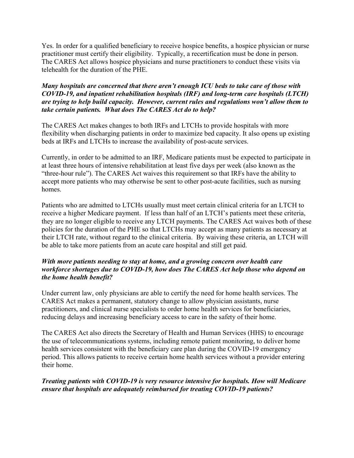Yes. In order for a qualified beneficiary to receive hospice benefits, a hospice physician or nurse practitioner must certify their eligibility. Typically, a recertification must be done in person. The CARES Act allows hospice physicians and nurse practitioners to conduct these visits via telehealth for the duration of the PHE.

#### Many hospitals are concerned that there aren't enough ICU beds to take care of those with COVID-19, and inpatient rehabilitation hospitals (IRF) and long-term care hospitals (LTCH) are trying to help build capacity. However, current rules and regulations won't allow them to take certain patients. What does The CARES Act do to help?

The CARES Act makes changes to both IRFs and LTCHs to provide hospitals with more flexibility when discharging patients in order to maximize bed capacity. It also opens up existing beds at IRFs and LTCHs to increase the availability of post-acute services.

Currently, in order to be admitted to an IRF, Medicare patients must be expected to participate in at least three hours of intensive rehabilitation at least five days per week (also known as the "three-hour rule"). The CARES Act waives this requirement so that IRFs have the ability to accept more patients who may otherwise be sent to other post-acute facilities, such as nursing homes.

Patients who are admitted to LTCHs usually must meet certain clinical criteria for an LTCH to receive a higher Medicare payment. If less than half of an LTCH's patients meet these criteria, they are no longer eligible to receive any LTCH payments. The CARES Act waives both of these policies for the duration of the PHE so that LTCHs may accept as many patients as necessary at their LTCH rate, without regard to the clinical criteria. By waiving these criteria, an LTCH will be able to take more patients from an acute care hospital and still get paid.

# With more patients needing to stay at home, and a growing concern over health care workforce shortages due to COVID-19, how does The CARES Act help those who depend on the home health benefit?

Under current law, only physicians are able to certify the need for home health services. The CARES Act makes a permanent, statutory change to allow physician assistants, nurse practitioners, and clinical nurse specialists to order home health services for beneficiaries, reducing delays and increasing beneficiary access to care in the safety of their home.

The CARES Act also directs the Secretary of Health and Human Services (HHS) to encourage the use of telecommunications systems, including remote patient monitoring, to deliver home health services consistent with the beneficiary care plan during the COVID-19 emergency period. This allows patients to receive certain home health services without a provider entering their home.

# Treating patients with COVID-19 is very resource intensive for hospitals. How will Medicare ensure that hospitals are adequately reimbursed for treating COVID-19 patients?